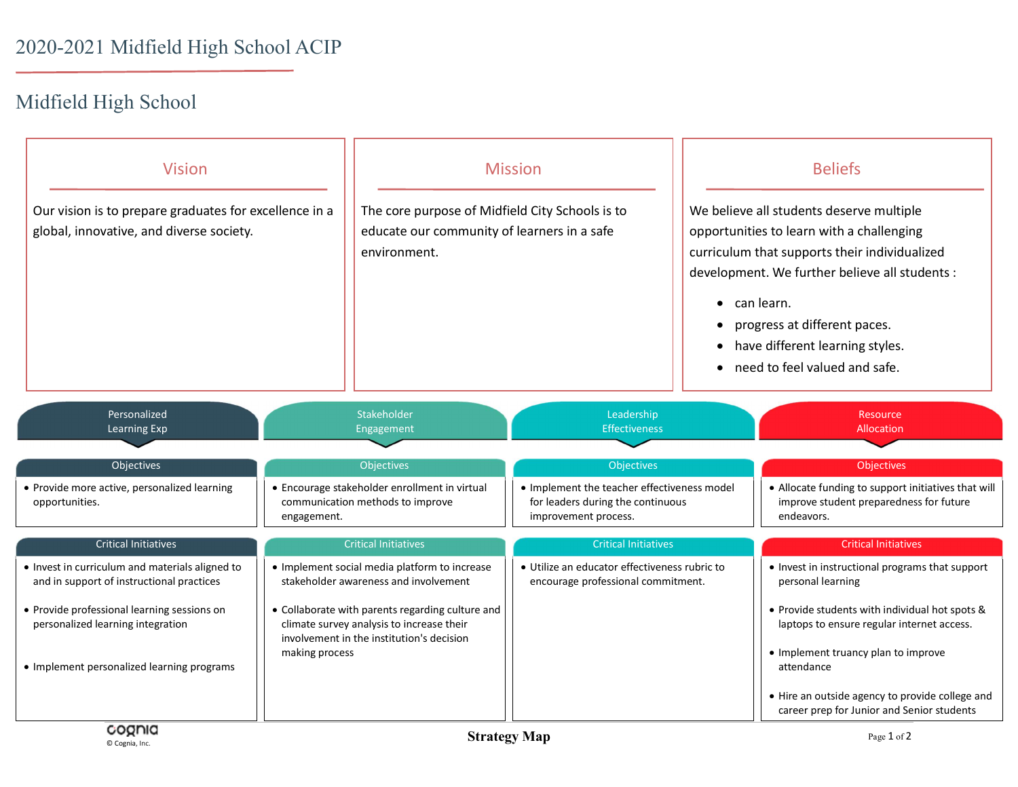## Midfield High School

| <b>Vision</b><br>Our vision is to prepare graduates for excellence in a<br>global, innovative, and diverse society.                                                                                                            |                                                                                                  | <b>Mission</b><br>The core purpose of Midfield City Schools is to<br>educate our community of learners in a safe<br>environment.                                                                                                     |                                                                                                          | <b>Beliefs</b><br>We believe all students deserve multiple<br>opportunities to learn with a challenging<br>curriculum that supports their individualized<br>development. We further believe all students :<br>$\bullet$ can learn.<br>progress at different paces.<br>$\bullet$<br>have different learning styles.<br>$\bullet$<br>need to feel valued and safe.<br>$\bullet$ |                                                                                                                                                                                                                                                                                                                            |
|--------------------------------------------------------------------------------------------------------------------------------------------------------------------------------------------------------------------------------|--------------------------------------------------------------------------------------------------|--------------------------------------------------------------------------------------------------------------------------------------------------------------------------------------------------------------------------------------|----------------------------------------------------------------------------------------------------------|-------------------------------------------------------------------------------------------------------------------------------------------------------------------------------------------------------------------------------------------------------------------------------------------------------------------------------------------------------------------------------|----------------------------------------------------------------------------------------------------------------------------------------------------------------------------------------------------------------------------------------------------------------------------------------------------------------------------|
| Personalized<br>Learning Exp                                                                                                                                                                                                   |                                                                                                  | Stakeholder<br>Engagement                                                                                                                                                                                                            | Leadership<br><b>Effectiveness</b>                                                                       |                                                                                                                                                                                                                                                                                                                                                                               | Resource<br><b>Allocation</b>                                                                                                                                                                                                                                                                                              |
| Objectives                                                                                                                                                                                                                     |                                                                                                  | Objectives                                                                                                                                                                                                                           | Objectives                                                                                               |                                                                                                                                                                                                                                                                                                                                                                               | Objectives                                                                                                                                                                                                                                                                                                                 |
| • Provide more active, personalized learning<br>opportunities.                                                                                                                                                                 | • Encourage stakeholder enrollment in virtual<br>communication methods to improve<br>engagement. |                                                                                                                                                                                                                                      | • Implement the teacher effectiveness model<br>for leaders during the continuous<br>improvement process. |                                                                                                                                                                                                                                                                                                                                                                               | • Allocate funding to support initiatives that will<br>improve student preparedness for future<br>endeavors.                                                                                                                                                                                                               |
| <b>Critical Initiatives</b>                                                                                                                                                                                                    |                                                                                                  | <b>Critical Initiatives</b>                                                                                                                                                                                                          | <b>Critical Initiatives</b>                                                                              |                                                                                                                                                                                                                                                                                                                                                                               | <b>Critical Initiatives</b>                                                                                                                                                                                                                                                                                                |
| . Invest in curriculum and materials aligned to<br>and in support of instructional practices<br>• Provide professional learning sessions on<br>personalized learning integration<br>• Implement personalized learning programs | making process                                                                                   | • Implement social media platform to increase<br>stakeholder awareness and involvement<br>• Collaborate with parents regarding culture and<br>climate survey analysis to increase their<br>involvement in the institution's decision | · Utilize an educator effectiveness rubric to<br>encourage professional commitment.                      |                                                                                                                                                                                                                                                                                                                                                                               | • Invest in instructional programs that support<br>personal learning<br>• Provide students with individual hot spots &<br>laptops to ensure regular internet access.<br>• Implement truancy plan to improve<br>attendance<br>• Hire an outside agency to provide college and<br>career prep for Junior and Senior students |